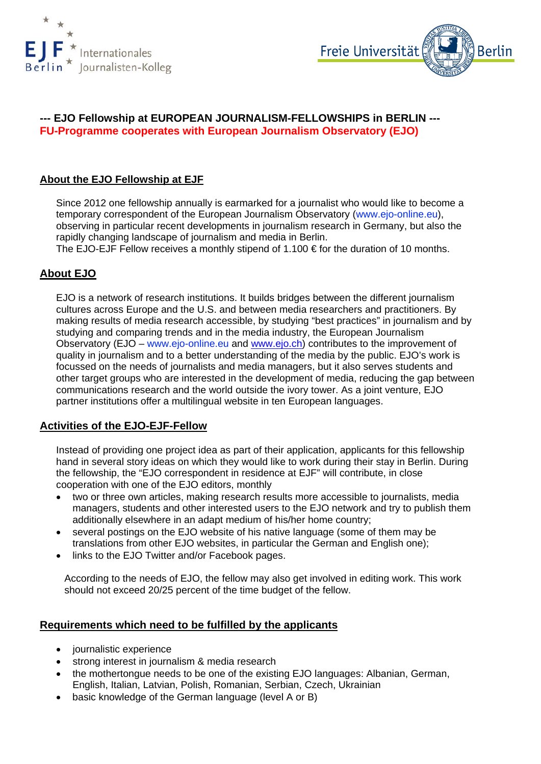



# **--- EJO Fellowship at EUROPEAN JOURNALISM-FELLOWSHIPS in BERLIN --- FU-Programme cooperates with European Journalism Observatory (EJO)**

# **About the EJO Fellowship at EJF**

Since 2012 one fellowship annually is earmarked for a journalist who would like to become a temporary correspondent of the European Journalism Observatory (www.ejo-online.eu), observing in particular recent developments in journalism research in Germany, but also the rapidly changing landscape of journalism and media in Berlin.

The EJO-EJF Fellow receives a monthly stipend of  $1.100 \text{ } \in$  for the duration of 10 months.

# **About EJO**

EJO is a network of research institutions. It builds bridges between the different journalism cultures across Europe and the U.S. and between media researchers and practitioners. By making results of media research accessible, by studying "best practices" in journalism and by studying and comparing trends and in the media industry, the European Journalism Observatory (EJO – www.ejo-online.eu and [www.ejo.ch\)](http://en.ejo.ch/) contributes to the improvement of quality in journalism and to a better understanding of the media by the public. EJO's work is focussed on the needs of journalists and media managers, but it also serves students and other target groups who are interested in the development of media, reducing the gap between communications research and the world outside the ivory tower. As a joint venture, EJO partner institutions offer a multilingual website in ten European languages.

## **Activities of the EJO-EJF-Fellow**

Instead of providing one project idea as part of their application, applicants for this fellowship hand in several story ideas on which they would like to work during their stay in Berlin. During the fellowship, the "EJO correspondent in residence at EJF" will contribute, in close cooperation with one of the EJO editors, monthly

- two or three own articles, making research results more accessible to journalists, media managers, students and other interested users to the EJO network and try to publish them additionally elsewhere in an adapt medium of his/her home country;
- several postings on the EJO website of his native language (some of them may be translations from other EJO websites, in particular the German and English one);
- links to the EJO Twitter and/or Facebook pages.

According to the needs of EJO, the fellow may also get involved in editing work. This work should not exceed 20/25 percent of the time budget of the fellow.

## **Requirements which need to be fulfilled by the applicants**

- journalistic experience
- strong interest in journalism & media research
- the mothertongue needs to be one of the existing EJO languages: Albanian, German, English, Italian, Latvian, Polish, Romanian, Serbian, Czech, Ukrainian
- basic knowledge of the German language (level A or B)